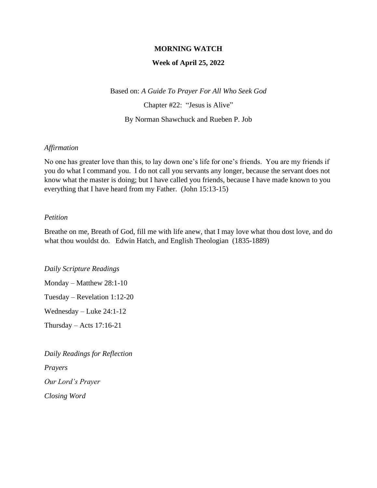### **MORNING WATCH**

### **Week of April 25, 2022**

Based on: *A Guide To Prayer For All Who Seek God*

Chapter #22: "Jesus is Alive"

By Norman Shawchuck and Rueben P. Job

#### *Affirmation*

No one has greater love than this, to lay down one's life for one's friends. You are my friends if you do what I command you. I do not call you servants any longer, because the servant does not know what the master is doing; but I have called you friends, because I have made known to you everything that I have heard from my Father. (John 15:13-15)

### *Petition*

Breathe on me, Breath of God, fill me with life anew, that I may love what thou dost love, and do what thou wouldst do. Edwin Hatch, and English Theologian (1835-1889)

*Daily Scripture Readings*

Monday – Matthew 28:1-10 Tuesday – Revelation 1:12-20 Wednesday – Luke 24:1-12

Thursday – Acts 17:16-21

*Daily Readings for Reflection Prayers Our Lord's Prayer*

*Closing Word*